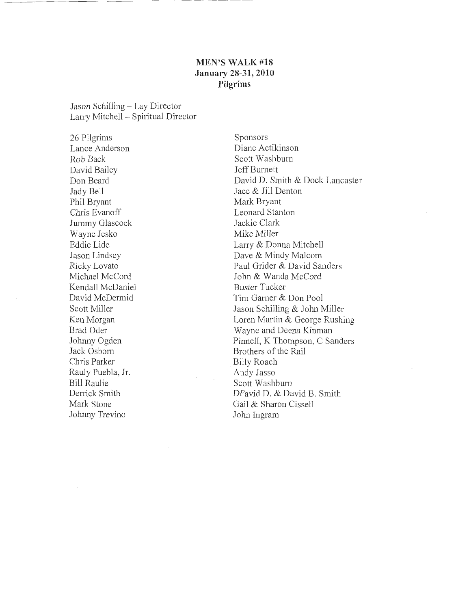### **MEN'S WALK #18 January 28-31, 2010 Pilgrims**

Jason Schilling - Lay Director Larry Mitchell - Spiritual Director

26 Pilgrims Lance Anderson Rob Back David Bailey Don Beard Jady Bell Phil Bryant Chris Evanoff Jummy Glascock Wayne Jeska Eddie Lide Jason Lindsey Ricky Lovato Michael McCord Kendall McDaniel David McDermid Scott Miller Ken Morgan Brad Oder Johnny Ogden Jack Osborn Chris Parker Rauly Puebla, Jr. Bill Raulie Derrick Smith Mark Stone Johnny Trevino

Sponsors Diane Actikinson Scott Washburn Jeff Burnett David D. Smith & Dock Lancaster Jace & Jill Denton Mark Bryant Leonard Stanton Jackie Clark Mike Miller Larry & Donna Mitchell Dave & Mindy Malcom Paul Grider & David Sanders John & Wanda McCord Buster Tucker Tim Garner & Don Pool Jason Schilling & John Miller Loren Martin & George Rushing Wayne and Deena Kimnan Pinnell, K Thompson, C Sanders Brothers of the Rail . Billy Roach Andy Jasso Scott Washburn DFavid D. & David B. Smith Gail & Sharon Cissell John Ingram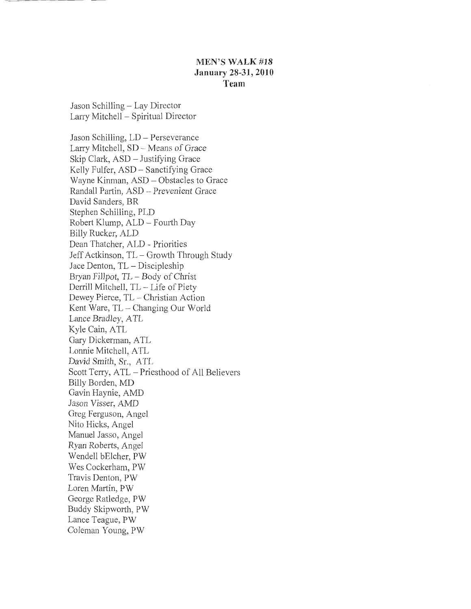### **MEN'S WALK#18 January 28-31, 2010 Team**

Jason Schilling- Lay Director Larry Mitchell - Spiritual Director

Jason Schilling, LD- Perseverance Larry Mitchell, SD - Means of Grace Skip Clark, ASD - Justifying Grace Kelly Fulfer, ASD - Sanctifying Grace Wayne Kinman, ASD- Obstacles to Grace Randall Partin, ASD - Prevenient Grace David Sanders, BR Stephen Schilling, PLD Robert Klump, ALD- Fourth Day Billy Rucker, ALD Dean Thatcher, ALD - Priorities Jeff Actkinson, TL- Growth Through Study Jace Denton, TL- Discipleship Bryan Fillpot, TL - Body of Christ Derrill Mitchell, TL - Life of Piety Dewey Pierce, TL - Christian Action Kent Ware, TL – Changing Our World Lance Bradley, ATL Kyle Cain, ATL Gary Dickerman, ATL Lonnie Mitchell, ATL David Smith, Sr., ATL Scott Terry, ATL- Priesthood of All Believers Billy Borden, MD Gavin Haynie, AMD Jason Visser, AMD Greg Ferguson, Angel Nito Hicks, Angel Manuel Jasso, Angel Ryan Roberts, Angel Wendell bElcher, PW Wes Cockerham, PW Travis Denton, PW Loren Martin, PW George Ratledge, PW Buddy Skipworth, PW Lance Teague, PW Coleman Young, PW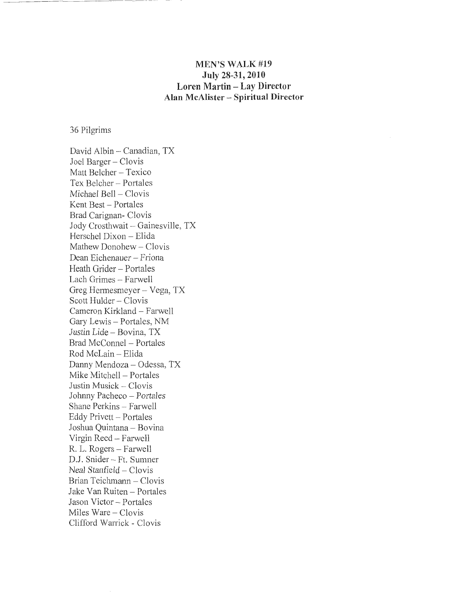# **MEN'S WALK #19 July 28-31, 2010 Loren Martin- Lay Director Alan McAlister- Spiritual Director**

36 Pilgrims

David Albin- Canadian, TX Joel Barger - Clovis Matt Belcher - Texico Tex Belcher- Portales Michael Bell - Clovis Kent Best - Portales Brad Carignan- Clovis Jody Crosthwait - Gainesville, TX Herschel Dixon - Elida Mathew Donohew- Clovis Dean Eichenauer - Friona Heath Grider- Portales Lach Grimes- Farwell Greg Hermesmeyer - Vega, TX Scott Hulder - Clovis Cameron Kirkland- Farwell Gary Lewis- Portales, NM Justin Lide- Bovina, TX Brad McConnel - Portales Rod McLain - Elida Danny Mendoza- Odessa, TX Mike Mitchell - Portales Justin Musick - Clovis Johnny Pacheco - Portales Shane Perkins - Farwell Eddy Privett - Portales Joshua Quintana- Bovina Virgin Reed - Farwell R. L. Rogers- Farwell D.J. Snider -- Ft. Sumner Neal Stanfield - Clovis Brian Teichmann - Clovis Jake Van Ruiten - Portales Jason Victor- Portales Miles Ware - Clovis Clifford Warrick - Clovis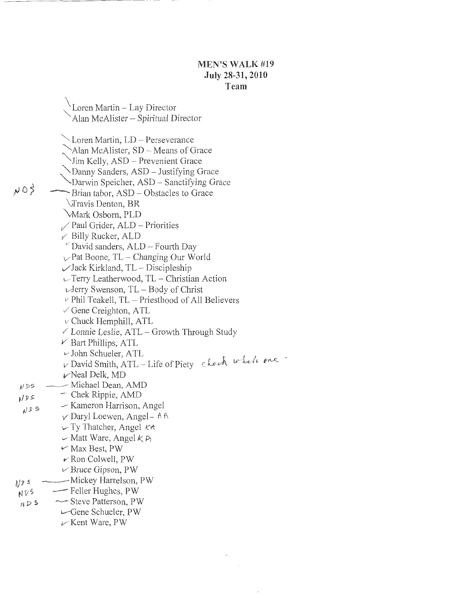Loren Martin- Lay Director Alan McAlister - Spiritual Director >Loren Martin, LD - Perseverance Alan McAlister, SD - Means of Grace Iim Kelly, ASD - Prevenient Grace "Danny Sanders, ASD- Justifying Grace Darwin Speicher, ASD- Sanctifying Grace  $NQ_0^2$  $\sim$ Brian tabor, ASD – Obstacles to Grace ~Travis Denton, BR 'vMark Osborn, PLD  $\sqrt{}$  Paul Grider, ALD – Priorities *v* Billy Rucker, ALD  $\check{v}$  David sanders, ALD  $-$  Fourth Day  $\vee$  Pat Boone, TL – Changing Our World  $\angle$ Jack Kirkland, TL – Discipleship  $\cup$  Terry Leatherwood, TL – Christian Action  $\sqrt{J}$ erry Swenson, TL – Body of Christ  $\nu$  Phil Teakell, TL - Priesthood of All Believers  $\vee$  Gene Creighton, ATL  $\nu$  Chuck Hemphill, ATL  $\angle$  Lonnie Leslie, ATL – Growth Through Study  $\nu$  Bart Phillips, ATL  $\sim$ John Schueler, ATL v David Smith, ATL-Life of Piety check when one  $\nu$  Neal Delk, MD -- Michael Dean, AMD  $NDS$  $-$  Chek Rippie, AMD  $NDS$ .-- Kameron Harrison, Angel 1 *JP* 5 v Daryl Loewen, Angel- A f'\ *v* Ty Thatcher, Angel Krt  $\sim$  Matt Ware, Angel  $k \rhd$ *v* Max Best, PW *v* Ron Colwell, PW *v* Bruce Gipson, PW -Mickey Harrelson, PW  $N/25$ - Feller Hughes, PW  $NVI5$ -Steve Patterson, PW  $NDS$  $\leftarrow$ Gene Schueler, PW  $\mathcal{V}$  Kent Ware, PW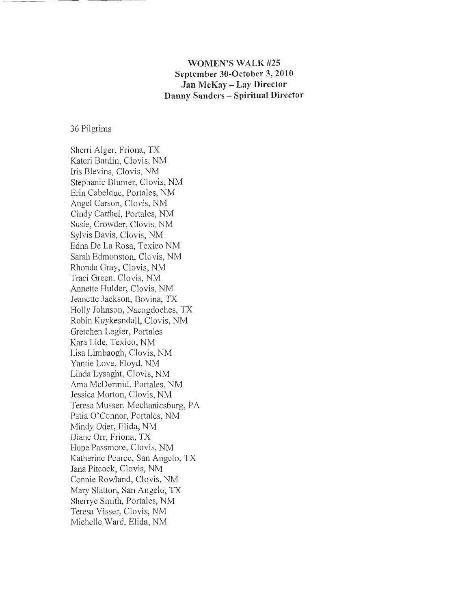### **WOMEN'S WALK #25 September 30-0ctober 3, 2010 Jan McKay- Lay Director Danny Sanders - Spiritual Director**

#### 36 Pilgrims

Sherri Alger, Friona, TX Kateri Bardin, Clovis, NM Iris Blevins, Clovis, NM Stephanie Blumer, Clovis, NM Erin Cabeldue, Portales, NM Angel Carson, Clovis, NM Cindy Carthel, Portales, NM Susie, Crowder, Clovis, NM Sylvis Davis, Clovis, NM Edna De La Rosa, Texico NM Sarah Edmonston, Clovis, NM Rhonda Gray, Clovis, NM Traci Green, Clovis, NM Annette Hulder, Clovis, NM Jeanette Jackson, Bovina, TX Holly Jolmson, Nacogdoches, TX Robin Kuykesndall, Clovis, NM Gretchen Legler, Portales Kara Lide, Texico, NM Lisa Limbaogh, Clovis, NM Yantie Love, Floyd, NM Linda Lysaght, Clovis, NM Ama McDermid, Portales, NM Jessica Morton, Clovis, NM Teresa Musser, Mechanicsburg, PA Patia O'Connor, Portales, NM Mindy Oder, Elida, NM Diane Orr, Friona, TX Hope Passmore, Clovis, NM Katherine Pearce, San Angelo, TX Jana Pitcock, Clovis, NM Connie Rowland, Clovis, NM Mary Slatton, San Angelo, TX Sherrye Smith, Portales, NM Teresa Visser, Clovis, NM Michelle Ward, Elida, NM